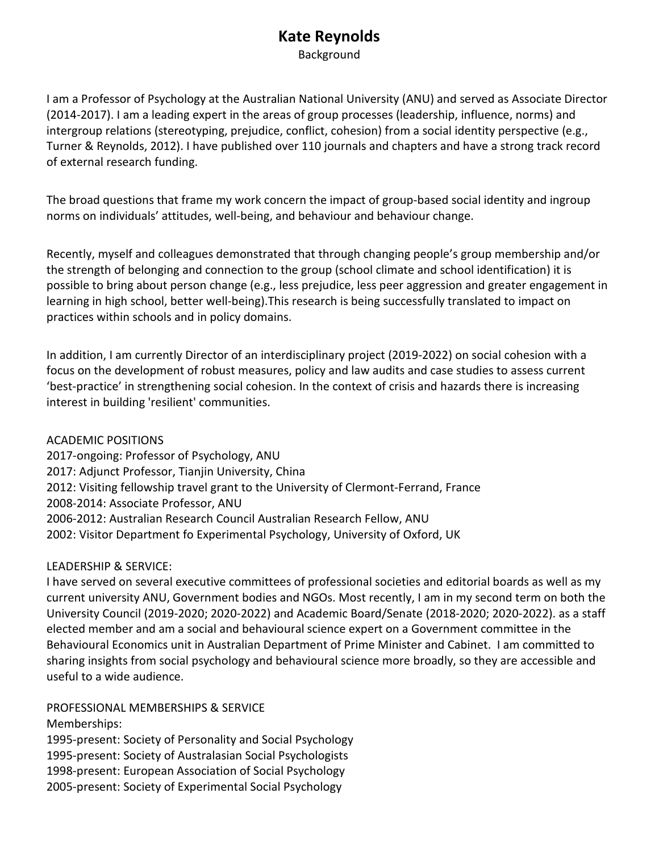## **Kate Reynolds**

Background

I am a Professor of Psychology at the Australian National University (ANU) and served as Associate Director (2014-2017). I am a leading expert in the areas of group processes (leadership, influence, norms) and intergroup relations (stereotyping, prejudice, conflict, cohesion) from a social identity perspective (e.g., Turner & Reynolds, 2012). I have published over 110 journals and chapters and have a strong track record of external research funding.

The broad questions that frame my work concern the impact of group-based social identity and ingroup norms on individuals' attitudes, well-being, and behaviour and behaviour change.

Recently, myself and colleagues demonstrated that through changing people's group membership and/or the strength of belonging and connection to the group (school climate and school identification) it is possible to bring about person change (e.g., less prejudice, less peer aggression and greater engagement in learning in high school, better well-being).This research is being successfully translated to impact on practices within schools and in policy domains.

In addition, I am currently Director of an interdisciplinary project (2019-2022) on social cohesion with a focus on the development of robust measures, policy and law audits and case studies to assess current 'best-practice' in strengthening social cohesion. In the context of crisis and hazards there is increasing interest in building 'resilient' communities.

ACADEMIC POSITIONS 2017-ongoing: Professor of Psychology, ANU 2017: Adjunct Professor, Tianjin University, China 2012: Visiting fellowship travel grant to the University of Clermont-Ferrand, France 2008-2014: Associate Professor, ANU 2006-2012: Australian Research Council Australian Research Fellow, ANU 2002: Visitor Department fo Experimental Psychology, University of Oxford, UK

## LEADERSHIP & SERVICE:

I have served on several executive committees of professional societies and editorial boards as well as my current university ANU, Government bodies and NGOs. Most recently, I am in my second term on both the University Council (2019-2020; 2020-2022) and Academic Board/Senate (2018-2020; 2020-2022). as a staff elected member and am a social and behavioural science expert on a Government committee in the Behavioural Economics unit in Australian Department of Prime Minister and Cabinet. I am committed to sharing insights from social psychology and behavioural science more broadly, so they are accessible and useful to a wide audience.

PROFESSIONAL MEMBERSHIPS & SERVICE Memberships:

1995-present: Society of Personality and Social Psychology 1995-present: Society of Australasian Social Psychologists 1998-present: European Association of Social Psychology 2005-present: Society of Experimental Social Psychology